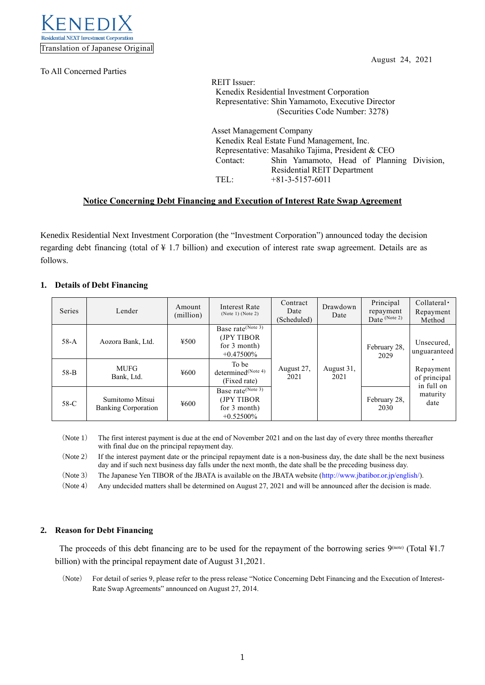

To All Concerned Parties

August 24, 2021

REIT Issuer: Kenedix Residential Investment Corporation Representative: Shin Yamamoto, Executive Director (Securities Code Number: 3278)

Asset Management Company Kenedix Real Estate Fund Management, Inc. Representative: Masahiko Tajima, President & CEO Contact: Shin Yamamoto, Head of Planning Division, Residential REIT Department TEL: +81-3-5157-6011

# **Notice Concerning Debt Financing and Execution of Interest Rate Swap Agreement**

Kenedix Residential Next Investment Corporation (the "Investment Corporation") announced today the decision regarding debt financing (total of ¥ 1.7 billion) and execution of interest rate swap agreement. Details are as follows.

# **1. Details of Debt Financing**

| Series | Lender                                        | Amount<br>(million) | Interest Rate<br>(Note 1) (Note 2)                                           | Contract<br>Date<br>(Scheduled) | Drawdown<br>Date   | Principal<br>repayment<br>Date $(Note 2)$ | $Collateral \cdot$<br>Repayment<br>Method                                                 |
|--------|-----------------------------------------------|---------------------|------------------------------------------------------------------------------|---------------------------------|--------------------|-------------------------------------------|-------------------------------------------------------------------------------------------|
| $58-A$ | Aozora Bank, Ltd.                             | 4500                | Base rate (Note 3)<br>(JPY TIBOR)<br>for 3 month)<br>$+0.47500\%$            |                                 | August 31,<br>2021 | February 28,<br>2029                      | Unsecured.<br>unguaranteed<br>Repayment<br>of principal<br>in full on<br>maturity<br>date |
| $58-B$ | <b>MUFG</b><br>Bank, Ltd.                     | ¥600                | To be<br>determined <sup>(Note 4)</sup><br>(Fixed rate)                      | August 27,<br>2021              |                    |                                           |                                                                                           |
| $58-C$ | Sumitomo Mitsui<br><b>Banking Corporation</b> | ¥600                | Base rate <sup>(Note 3)</sup><br>(JPY TIBOR)<br>for 3 month)<br>$+0.52500\%$ |                                 |                    | February 28,<br>2030                      |                                                                                           |

(Note 1) The first interest payment is due at the end of November 2021 and on the last day of every three months thereafter with final due on the principal repayment day.

(Note 2) If the interest payment date or the principal repayment date is a non-business day, the date shall be the next business day and if such next business day falls under the next month, the date shall be the preceding business day.

(Note 3) The Japanese Yen TIBOR of the JBATA is available on the JBATA website [\(http://www.jbatibor.or.jp/english/\)](http://www.jbatibor.or.jp/english/).

(Note 4) Any undecided matters shall be determined on August 27, 2021 and will be announced after the decision is made.

## **2. Reason for Debt Financing**

The proceeds of this debt financing are to be used for the repayment of the borrowing series  $9<sup>(note)</sup>$  (Total ¥1.7) billion) with the principal repayment date of August 31,2021.

(Note) For detail of series 9, please refer to the press release "Notice Concerning Debt Financing and the Execution of Interest-Rate Swap Agreements" announced on August 27, 2014.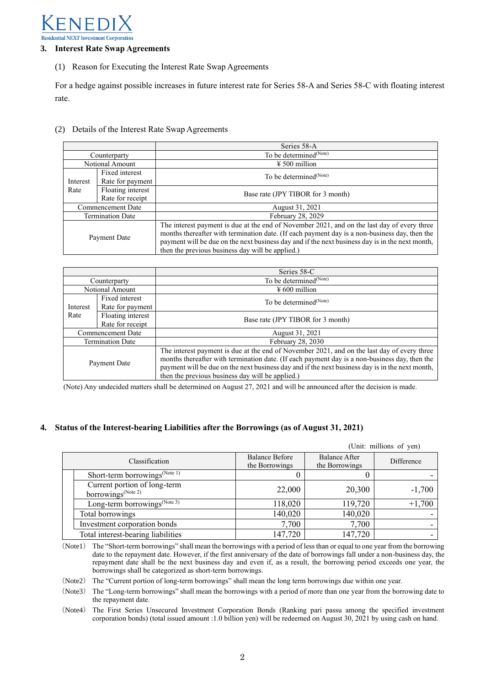

#### **3. Interest Rate Swap Agreements**

(1) Reason for Executing the Interest Rate Swap Agreements

For a hedge against possible increases in future interest rate for Series 58-A and Series 58-C with floating interest rate.

(2) Details of the Interest Rate Swap Agreements

|                         |                                       | Series 58-A                                                                                                                                                                                                                                                                                                                                         |  |  |
|-------------------------|---------------------------------------|-----------------------------------------------------------------------------------------------------------------------------------------------------------------------------------------------------------------------------------------------------------------------------------------------------------------------------------------------------|--|--|
| Counterparty            |                                       | To be determined <sup>(Note)</sup>                                                                                                                                                                                                                                                                                                                  |  |  |
| Notional Amount         |                                       | $\frac{1}{2}$ 500 million                                                                                                                                                                                                                                                                                                                           |  |  |
| Interest<br>Rate        | Fixed interest<br>Rate for payment    | To be determined <sup>(Note)</sup>                                                                                                                                                                                                                                                                                                                  |  |  |
|                         | Floating interest<br>Rate for receipt | Base rate (JPY TIBOR for 3 month)                                                                                                                                                                                                                                                                                                                   |  |  |
| Commencement Date       |                                       | August 31, 2021                                                                                                                                                                                                                                                                                                                                     |  |  |
| <b>Termination Date</b> |                                       | February 28, 2029                                                                                                                                                                                                                                                                                                                                   |  |  |
| Payment Date            |                                       | The interest payment is due at the end of November 2021, and on the last day of every three<br>months thereafter with termination date. (If each payment day is a non-business day, then the<br>payment will be due on the next business day and if the next business day is in the next month,<br>then the previous business day will be applied.) |  |  |

|                         |                   | Series 58-C                                                                                     |  |  |
|-------------------------|-------------------|-------------------------------------------------------------------------------------------------|--|--|
| Counterparty            |                   | To be determined <sup>(Note)</sup>                                                              |  |  |
| Notional Amount         |                   | $\frac{1}{2}600$ million                                                                        |  |  |
| Interest<br>Rate        | Fixed interest    | To be determined <sup>(Note)</sup>                                                              |  |  |
|                         | Rate for payment  |                                                                                                 |  |  |
|                         | Floating interest | Base rate (JPY TIBOR for 3 month)                                                               |  |  |
|                         | Rate for receipt  |                                                                                                 |  |  |
| Commencement Date       |                   | August 31, 2021                                                                                 |  |  |
| <b>Termination Date</b> |                   | February 28, 2030                                                                               |  |  |
| Payment Date            |                   | The interest payment is due at the end of November 2021, and on the last day of every three     |  |  |
|                         |                   | months thereafter with termination date. (If each payment day is a non-business day, then the   |  |  |
|                         |                   | payment will be due on the next business day and if the next business day is in the next month, |  |  |
|                         |                   | then the previous business day will be applied.)                                                |  |  |

(Note) Any undecided matters shall be determined on August 27, 2021 and will be announced after the decision is made.

## **4. Status of the Interest-bearing Liabilities after the Borrowings (as of August 31, 2021)**

|                                                                |                                         |                                 | (Unit: millions of yen) |
|----------------------------------------------------------------|-----------------------------------------|---------------------------------|-------------------------|
| Classification                                                 | <b>Balance Before</b><br>the Borrowings | Balance After<br>the Borrowings | Difference              |
| Short-term borrowings <sup>(Note 1)</sup>                      |                                         |                                 |                         |
| Current portion of long-term<br>borrowings <sup>(Note 2)</sup> | 22,000                                  | 20,300                          | $-1,700$                |
| Long-term borrowings <sup>(Note 3)</sup>                       | 118,020                                 | 119,720                         | $+1,700$                |
| Total borrowings                                               | 140,020                                 | 140,020                         |                         |
| Investment corporation bonds                                   | 7,700                                   | 7,700                           |                         |
| Total interest-bearing liabilities                             | 147,720                                 | 147,720                         |                         |

(Note1) The "Short-term borrowings" shall mean the borrowings with a period of less than or equal to one year from the borrowing date to the repayment date. However, if the first anniversary of the date of borrowings fall under a non-business day, the repayment date shall be the next business day and even if, as a result, the borrowing period exceeds one year, the borrowings shall be categorized as short-term borrowings.

(Note2) The "Current portion of long-term borrowings" shall mean the long term borrowings due within one year.

(Note3) The "Long-term borrowings" shall mean the borrowings with a period of more than one year from the borrowing date to the repayment date.

(Note4) The First Series Unsecured Investment Corporation Bonds (Ranking pari passu among the specified investment corporation bonds) (total issued amount :1.0 billion yen) will be redeemed on August 30, 2021 by using cash on hand.